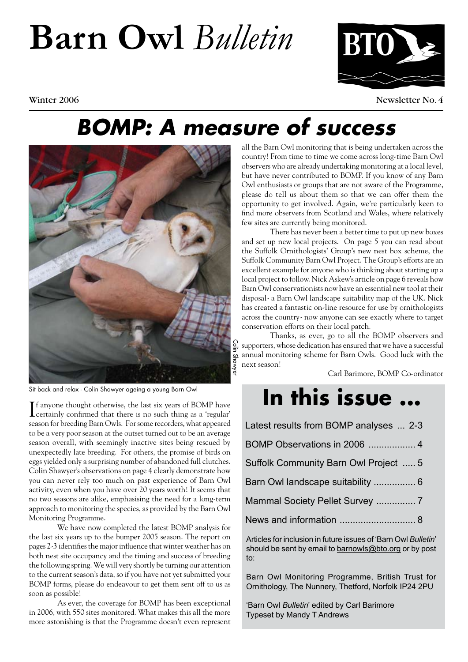## **Barn Owl** *Bulletin*



Winter 2006 Newsletter No. 4

### *BOMP: A measure of success*



Sit back and relax - Colin Shawyer ageing a young Barn Owl

If anyone thought otherwise, the last six years of BOMP have<br>certainly confirmed that there is no such thing as a 'regular' **T**f anyone thought otherwise, the last six years of BOMP have season for breeding Barn Owls. For some recorders, what appeared to be a very poor season at the outset turned out to be an average season overall, with seemingly inactive sites being rescued by unexpectedly late breeding. For others, the promise of birds on eggs yielded only a surprising number of abandoned full clutches. Colin Shawyer's observations on page 4 clearly demonstrate how you can never rely too much on past experience of Barn Owl activity, even when you have over 20 years worth! It seems that no two seasons are alike, emphasising the need for a long-term approach to monitoring the species, as provided by the Barn Owl Monitoring Programme.

We have now completed the latest BOMP analysis for the last six years up to the bumper 2005 season. The report on pages 2-3 identifies the major influence that winter weather has on both nest site occupancy and the timing and success of breeding the following spring. We will very shortly be turning our attention to the current season's data, so if you have not yet submitted your BOMP forms, please do endeavour to get them sent off to us as soon as possible!

As ever, the coverage for BOMP has been exceptional in 2006, with 550 sites monitored. What makes this all the more more astonishing is that the Programme doesn't even represent

all the Barn Owl monitoring that is being undertaken across the country! From time to time we come across long-time Barn Owl observers who are already undertaking monitoring at a local level, but have never contributed to BOMP. If you know of any Barn Owl enthusiasts or groups that are not aware of the Programme, please do tell us about them so that we can offer them the opportunity to get involved. Again, we're particularly keen to find more observers from Scotland and Wales, where relatively few sites are currently being monitored.

There has never been a better time to put up new boxes and set up new local projects. On page 5 you can read about the Suffolk Ornithologists' Group's new nest box scheme, the Suffolk Community Barn Owl Project. The Group's efforts are an excellent example for anyone who is thinking about starting up a local project to follow. Nick Askew's article on page 6 reveals how Barn Owl conservationists now have an essential new tool at their disposal- a Barn Owl landscape suitability map of the UK. Nick has created a fantastic on-line resource for use by ornithologists across the country- now anyone can see exactly where to target conservation efforts on their local patch.

Thanks, as ever, go to all the BOMP observers and supporters, whose dedication has ensured that we have a successful annual monitoring scheme for Barn Owls. Good luck with the next season!

Carl Barimore, BOMP Co-ordinator

### **In this issue ...**

Articles for inclusion in future issues of 'Barn Owl *Bulletin*' should be sent by email to barnowls@bto.org or by post to:

Barn Owl Monitoring Programme, British Trust for Ornithology, The Nunnery, Thetford, Norfolk IP24 2PU

'Barn Owl *Bulletin*' edited by Carl Barimore Typeset by Mandy T Andrews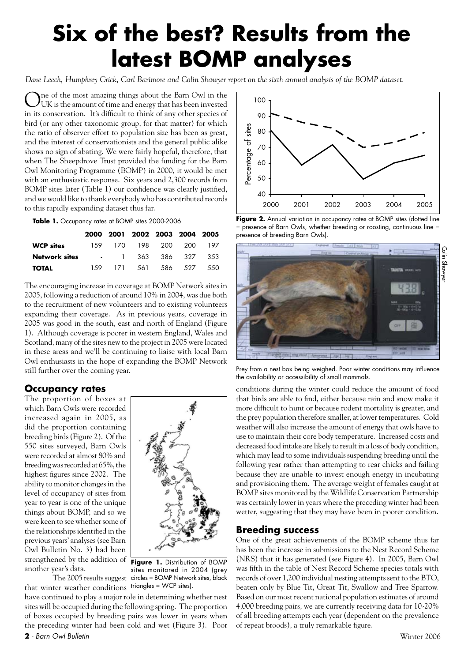### **Six of the best? Results from the latest BOMP analyses**

*Dave Leech, Humphrey Crick, Carl Barimore and Colin Shawyer report on the sixth annual analysis of the BOMP dataset.* 

Ine of the most amazing things about the Barn Owl in the  $\boldsymbol{U}$ UK is the amount of time and energy that has been invested in its conservation. It's difficult to think of any other species of bird (or any other taxonomic group, for that matter) for which the ratio of observer effort to population size has been as great, and the interest of conservationists and the general public alike shows no sign of abating. We were fairly hopeful, therefore, that when The Sheepdrove Trust provided the funding for the Barn Owl Monitoring Programme (BOMP) in 2000, it would be met with an enthusiastic response. Six years and 2,300 records from BOMP sites later (Table 1) our confidence was clearly justified, and we would like to thank everybody who has contributed records to this rapidly expanding dataset thus far.

**Table 1.** Occupancy rates at BOMP sites 2000-2006

|                  |  | 2000 2001 2002 2003 2004 2005 |  |  |
|------------------|--|-------------------------------|--|--|
| <b>WCP sites</b> |  | 159 170 198 200 200 197       |  |  |
| Network sites    |  | - 1 363 386 327 353           |  |  |
| <b>TOTAL</b>     |  | 159 171 561 586 527 550       |  |  |

The encouraging increase in coverage at BOMP Network sites in 2005, following a reduction of around 10% in 2004, was due both to the recruitment of new volunteers and to existing volunteers expanding their coverage. As in previous years, coverage in 2005 was good in the south, east and north of England (Figure 1). Although coverage is poorer in western England, Wales and Scotland, many of the sites new to the project in 2005 were located in these areas and we'll be continuing to liaise with local Barn Owl enthusiasts in the hope of expanding the BOMP Network still further over the coming year.

#### **Occupancy rates**

The proportion of boxes at which Barn Owls were recorded increased again in 2005, as did the proportion containing breeding birds (Figure 2). Of the 550 sites surveyed, Barn Owls were recorded at almost 80% and breeding was recorded at 65%, the highest figures since 2002. The ability to monitor changes in the level of occupancy of sites from year to year is one of the unique things about BOMP, and so we were keen to see whether some of the relationships identified in the previous years' analyses (see Barn Owl Bulletin No. 3) had been strengthened by the addition of another year's data.



The 2005 results suggest circles = BOMP Network sites, black **Figure 1.** Distribution of BOMP sites monitored in 2004 (grey

that winter weather conditions triangles = WCP sites).have continued to play a major role in determining whether nest sites will be occupied during the following spring. The proportion of boxes occupied by breeding pairs was lower in years when the preceding winter had been cold and wet (Figure 3). Poor



Figure 2. Annual variation in occupancy rates at BOMP sites (dotted line = presence of Barn Owls, whether breeding or roosting, continuous line = presence of breeding Barn Owls).



Prey from a nest box being weighed. Poor winter conditions may influence the availability or accessibility of small mammals.

conditions during the winter could reduce the amount of food that birds are able to find, either because rain and snow make it more difficult to hunt or because rodent mortality is greater, and the prey population therefore smaller, at lower temperatures. Cold weather will also increase the amount of energy that owls have to use to maintain their core body temperature. Increased costs and decreased food intake are likely to result in a loss of body condition, which may lead to some individuals suspending breeding until the following year rather than attempting to rear chicks and failing because they are unable to invest enough energy in incubating and provisioning them. The average weight of females caught at BOMP sites monitored by the Wildlife Conservation Partnership was certainly lower in years where the preceding winter had been wetter, suggesting that they may have been in poorer condition.

#### **Breeding success**

One of the great achievements of the BOMP scheme thus far has been the increase in submissions to the Nest Record Scheme (NRS) that it has generated (see Figure 4). In 2005, Barn Owl was fifth in the table of Nest Record Scheme species totals with records of over 1,200 individual nesting attempts sent to the BTO, beaten only by Blue Tit, Great Tit, Swallow and Tree Sparrow. Based on our most recent national population estimates of around 4,000 breeding pairs, we are currently receiving data for 10-20% of all breeding attempts each year (dependent on the prevalence of repeat broods), a truly remarkable figure.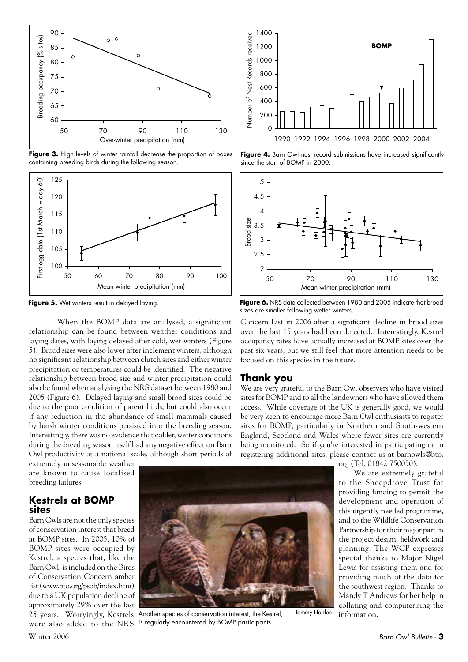

Figure 3. High levels of winter rainfall decrease the proportion of boxes containing breeding birds during the following season.



**Figure 5.** Wet winters result in delayed laying.

When the BOMP data are analysed, a significant relationship can be found between weather conditions and laying dates, with laying delayed after cold, wet winters (Figure 5). Brood sizes were also lower after inclement winters, although no significant relationship between clutch sizes and either winter precipitation or temperatures could be identified. The negative relationship between brood size and winter precipitation could also be found when analysing the NRS dataset between 1980 and 2005 (Figure 6). Delayed laying and small brood sizes could be due to the poor condition of parent birds, but could also occur if any reduction in the abundance of small mammals caused by harsh winter conditions persisted into the breeding season. Interestingly, there was no evidence that colder, wetter conditions during the breeding season itself had any negative effect on Barn Owl productivity at a national scale, although short periods of

extremely unseasonable weather are known to cause localised breeding failures.

#### **Kestrels at BOMP sites**

Barn Owls are not the only species of conservation interest that breed at BOMP sites. In 2005, 10% of BOMP sites were occupied by Kestrel, a species that, like the Barn Owl, is included on the Birds of Conservation Concern amber list (www.bto.org/psob/index.htm) due to a UK population decline of approximately 29% over the last



25 years. Worryingly, Kestrels Another species of conservation interest, the Kestrel, were also added to the NRS is regularly encountered by BOMP participants.



Figure 4. Barn Owl nest record submissions have increased significantly since the start of BOMP in 2000.



Figure 6. NRS data collected between 1980 and 2005 indicate that brood sizes are smaller following wetter winters.

Concern List in 2006 after a significant decline in brood sizes over the last 15 years had been detected. Interestingly, Kestrel occupancy rates have actually increased at BOMP sites over the past six years, but we still feel that more attention needs to be focused on this species in the future.

#### **Thank you**

We are very grateful to the Barn Owl observers who have visited sites for BOMP and to all the landowners who have allowed them access. While coverage of the UK is generally good, we would be very keen to encourage more Barn Owl enthusiasts to register sites for BOMP, particularly in Northern and South-western England, Scotland and Wales where fewer sites are currently being monitored. So if you're interested in participating or in registering additional sites, please contact us at barnowls@bto.

Tommy Holden

org (Tel. 01842 750050).

We are extremely grateful to the Sheepdrove Trust for providing funding to permit the development and operation of this urgently needed programme, and to the Wildlife Conservation Partnership for their major part in the project design, fieldwork and planning. The WCP expresses special thanks to Major Nigel Lewis for assisting them and for providing much of the data for the southwest region. Thanks to Mandy T Andrews for her help in collating and computerising the information.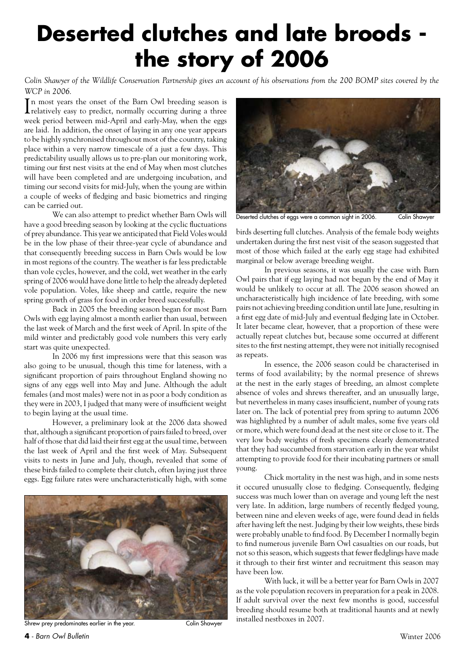### **Deserted clutches and late broods the story of 2006**

*Colin Shawyer of the Wildlife Conservation Partnership gives an account of his observations from the 200 BOMP sites covered by the WCP in 2006.*

In most years the onset of the Barn Owl breeding season is relatively easy to predict, normally occurring during a three relatively easy to predict, normally occurring during a three week period between mid-April and early-May, when the eggs are laid. In addition, the onset of laying in any one year appears to be highly synchronised throughout most of the country, taking place within a very narrow timescale of a just a few days. This predictability usually allows us to pre-plan our monitoring work, timing our first nest visits at the end of May when most clutches will have been completed and are undergoing incubation, and timing our second visits for mid-July, when the young are within a couple of weeks of fledging and basic biometrics and ringing can be carried out.

We can also attempt to predict whether Barn Owls will have a good breeding season by looking at the cyclic fluctuations of prey abundance. This year we anticipated that Field Voles would be in the low phase of their three-year cycle of abundance and that consequently breeding success in Barn Owls would be low in most regions of the country. The weather is far less predictable than vole cycles, however, and the cold, wet weather in the early spring of 2006 would have done little to help the already depleted vole population. Voles, like sheep and cattle, require the new spring growth of grass for food in order breed successfully.

Back in 2005 the breeding season began for most Barn Owls with egg laying almost a month earlier than usual, between the last week of March and the first week of April. In spite of the mild winter and predictably good vole numbers this very early start was quite unexpected.

In 2006 my first impressions were that this season was also going to be unusual, though this time for lateness, with a significant proportion of pairs throughout England showing no signs of any eggs well into May and June. Although the adult females (and most males) were not in as poor a body condition as they were in 2003, I judged that many were of insufficient weight to begin laying at the usual time.

However, a preliminary look at the 2006 data showed that, although a significant proportion of pairs failed to breed, over half of those that did laid their first egg at the usual time, between the last week of April and the first week of May. Subsequent visits to nests in June and July, though, revealed that some of these birds failed to complete their clutch, often laying just three eggs. Egg failure rates were uncharacteristically high, with some



Shrew prey predominates earlier in the year. The colin Shawyer



Deserted clutches of eggs were a common sight in 2006. Colin Shawyer

birds deserting full clutches. Analysis of the female body weights undertaken during the first nest visit of the season suggested that most of those which failed at the early egg stage had exhibited marginal or below average breeding weight.

In previous seasons, it was usually the case with Barn Owl pairs that if egg laying had not begun by the end of May it would be unlikely to occur at all. The 2006 season showed an uncharacteristically high incidence of late breeding, with some pairs not achieving breeding condition until late June, resulting in a first egg date of mid-July and eventual fledging late in October. It later became clear, however, that a proportion of these were actually repeat clutches but, because some occurred at different sites to the first nesting attempt, they were not initially recognised as repeats.

In essence, the 2006 season could be characterised in terms of food availability; by the normal presence of shrews at the nest in the early stages of breeding, an almost complete absence of voles and shrews thereafter, and an unusually large, but nevertheless in many cases insufficient, number of young rats later on. The lack of potential prey from spring to autumn 2006 was highlighted by a number of adult males, some five years old or more, which were found dead at the nest site or close to it. The very low body weights of fresh specimens clearly demonstrated that they had succumbed from starvation early in the year whilst attempting to provide food for their incubating partners or small young.

Chick mortality in the nest was high, and in some nests it occured unusually close to fledging. Consequently, fledging success was much lower than on average and young left the nest very late. In addition, large numbers of recently fledged young, between nine and eleven weeks of age, were found dead in fields after having left the nest. Judging by their low weights, these birds were probably unable to find food. By December I normally begin to find numerous juvenile Barn Owl casualties on our roads, but not so this season, which suggests that fewer fledglings have made it through to their first winter and recruitment this season may have been low.

With luck, it will be a better year for Barn Owls in 2007 as the vole population recovers in preparation for a peak in 2008. If adult survival over the next few months is good, successful breeding should resume both at traditional haunts and at newly installed nestboxes in 2007.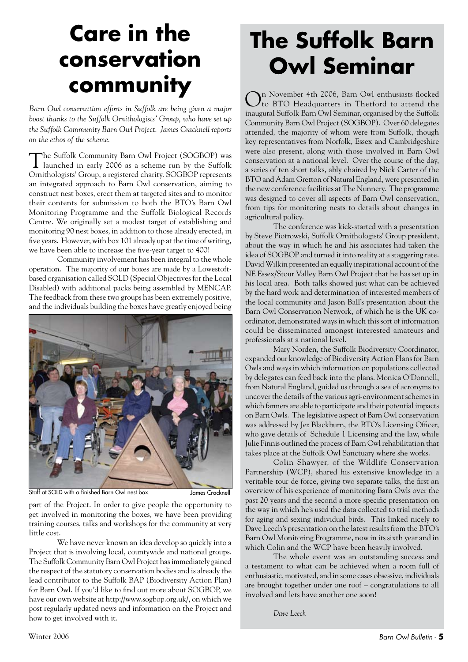### **Care in the conservation community**

*Barn Owl conservation efforts in Suffolk are being given a major boost thanks to the Suffolk Ornithologists' Group, who have set up the Suffolk Community Barn Owl Project. James Cracknell reports on the ethos of the scheme.*

The Suffolk Community Barn Owl Project (SOGBOP) was launched in early 2006 as a scheme run by the Suffolk Ornithologists' Group, a registered charity. SOGBOP represents an integrated approach to Barn Owl conservation, aiming to construct nest boxes, erect them at targeted sites and to monitor their contents for submission to both the BTO's Barn Owl Monitoring Programme and the Suffolk Biological Records Centre. We originally set a modest target of establishing and monitoring 90 nest boxes, in addition to those already erected, in five years. However, with box 101 already up at the time of writing, we have been able to increase the five-year target to 400!

Community involvement has been integral to the whole operation. The majority of our boxes are made by a Lowestoftbased organisation called SOLD (Special Objectives for the Local Disabled) with additional packs being assembled by MENCAP. The feedback from these two groups has been extremely positive, and the individuals building the boxes have greatly enjoyed being



Staff at SOLD with a finished Barn Owl nest box. James Cracknell

part of the Project. In order to give people the opportunity to get involved in monitoring the boxes, we have been providing training courses, talks and workshops for the community at very little cost.

We have never known an idea develop so quickly into a Project that is involving local, countywide and national groups. The Suffolk Community Barn Owl Project has immediately gained the respect of the statutory conservation bodies and is already the lead contributor to the Suffolk BAP (Biodiversity Action Plan) for Barn Owl. If you'd like to find out more about SOGBOP, we have our own website at http://www.sogbop.org.uk/, on which we post regularly updated news and information on the Project and how to get involved with it.

### **The Suffolk Barn Owl Seminar**

On November 4th 2006, Barn Owl enthusiasts flocked to BTO Headquarters in Thetford to attend the inaugural Suffolk Barn Owl Seminar, organised by the Suffolk Community Barn Owl Project (SOGBOP). Over 60 delegates attended, the majority of whom were from Suffolk, though key representatives from Norfolk, Essex and Cambridgeshire were also present, along with those involved in Barn Owl conservation at a national level. Over the course of the day, a series of ten short talks, ably chaired by Nick Carter of the BTO and Adam Gretton of Natural England, were presented in the new conference facilities at The Nunnery. The programme was designed to cover all aspects of Barn Owl conservation, from tips for monitoring nests to details about changes in agricultural policy.

The conference was kick-started with a presentation by Steve Piotrowski, Suffolk Ornithologists' Group president, about the way in which he and his associates had taken the idea of SOGBOP and turned it into reality at a staggering rate. David Wilkin presented an equally inspirational account of the NE Essex/Stour Valley Barn Owl Project that he has set up in his local area. Both talks showed just what can be achieved by the hard work and determination of interested members of the local community and Jason Ball's presentation about the Barn Owl Conservation Network, of which he is the UK coordinator, demonstrated ways in which this sort of information could be disseminated amongst interested amateurs and professionals at a national level.

Mary Norden, the Suffolk Biodiversity Coordinator, expanded our knowledge of Biodiversity Action Plans for Barn Owls and ways in which information on populations collected by delegates can feed back into the plans. Monica O'Donnell, from Natural England, guided us through a sea of acronyms to uncover the details of the various agri-environment schemes in which farmers are able to participate and their potential impacts on Barn Owls. The legislative aspect of Barn Owl conservation was addressed by Jez Blackburn, the BTO's Licensing Officer, who gave details of Schedule 1 Licensing and the law, while Julie Finnis outlined the process of Barn Owl rehabilitation that takes place at the Suffolk Owl Sanctuary where she works.

Colin Shawyer, of the Wildlife Conservation Partnership (WCP), shared his extensive knowledge in a veritable tour de force, giving two separate talks, the first an overview of his experience of monitoring Barn Owls over the past 20 years and the second a more specific presentation on the way in which he's used the data collected to trial methods for aging and sexing individual birds. This linked nicely to Dave Leech's presentation on the latest results from the BTO's Barn Owl Monitoring Programme, now in its sixth year and in which Colin and the WCP have been heavily involved.

The whole event was an outstanding success and a testament to what can be achieved when a room full of enthusiastic, motivated, and in some cases obsessive, individuals are brought together under one roof – congratulations to all involved and lets have another one soon!

*Dave Leech*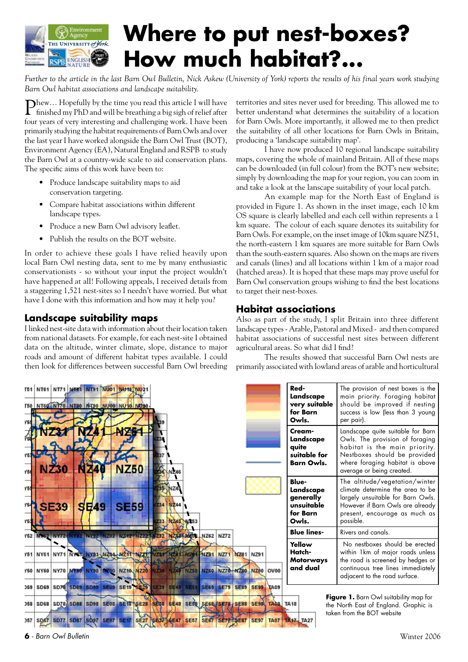

### **Where to put nest-boxes? How much habitat?...**

*Further to the article in the last Barn Owl Bulletin, Nick Askew (University of York) reports the results of his final years work studying Barn Owl habitat associations and landscape suitability.*

Phew… Hopefully by the time you read this article I will have finished my PhD and will be breathing a big sigh of relief after four years of very interesting and challenging work. I have been primarily studying the habitat requirements of Barn Owls and over the last year I have worked alongside the Barn Owl Trust (BOT), Environment Agency (EA), Natural England and RSPB to study the Barn Owl at a country-wide scale to aid conservation plans. The specific aims of this work have been to:

- Produce landscape suitability maps to aid conservation targeting.
- Compare habitat associations within different landscape types.
- Produce a new Barn Owl advisory leaflet.
- Publish the results on the BOT website.

In order to achieve these goals I have relied heavily upon local Barn Owl nesting data, sent to me by many enthusiastic conservationists - so without your input the project wouldn't have happened at all! Following appeals, I received details from a staggering 1,521 nest-sites so I needn't have worried. But what have I done with this information and how may it help you?

#### **Landscape suitability maps**

I linked nest-site data with information about their location taken from national datasets. For example, for each nest-site I obtained data on the altitude, winter climate, slope, distance to major roads and amount of different habitat types available. I could then look for differences between successful Barn Owl breeding territories and sites never used for breeding. This allowed me to better understand what determines the suitability of a location for Barn Owls. More importantly, it allowed me to then predict the suitability of all other locations for Barn Owls in Britain, producing a 'landscape suitability map'.

I have now produced 10 regional landscape suitability maps, covering the whole of mainland Britain. All of these maps can be downloaded (in full colour) from the BOT's new website; simply by downloading the map for your region, you can zoom in and take a look at the lanscape suitability of your local patch.

An example map for the North East of England is provided in Figure 1. As shown in the inset image, each 10 km OS square is clearly labelled and each cell within represents a 1 km square. The colour of each square denotes its suitability for Barn Owls. For example, on the inset image of 10km square NZ51, the north-eastern 1 km squares are more suitable for Barn Owls than the south-eastern squares. Also shown on the maps are rivers and canals (lines) and all locations within 1 km of a major road (hatched areas). It is hoped that these maps may prove useful for Barn Owl conservation groups wishing to find the best locations to target their nest-boxes.

#### **Habitat associations**

Also as part of the study, I split Britain into three different landscape types - Arable, Pastoral and Mixed - and then compared habitat associations of successful nest sites between different agricultural areas. So what did I find?

The results showed that successful Barn Owl nests are primarily associated with lowland areas of arable and horticultural

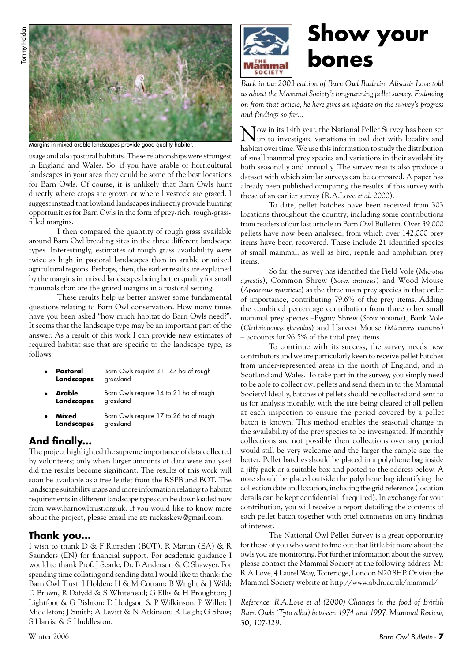

Margins in mixed arable landscapes provide good quality habitat.

usage and also pastoral habitats. These relationships were strongest in England and Wales. So, if you have arable or horticultural landscapes in your area they could be some of the best locations for Barn Owls. Of course, it is unlikely that Barn Owls hunt directly where crops are grown or where livestock are grazed. I suggest instead that lowland landscapes indirectly provide hunting opportunities for Barn Owls in the form of prey-rich, rough-grassfilled margins.

I then compared the quantity of rough grass available around Barn Owl breeding sites in the three different landscape types. Interestingly, estimates of rough grass availability were twice as high in pastoral landscapes than in arable or mixed agricultural regions. Perhaps, then, the earlier results are explained by the margins in mixed landscapes being better quality for small mammals than are the grazed margins in a pastoral setting.

These results help us better answer some fundamental questions relating to Barn Owl conservation. How many times have you been asked "how much habitat do Barn Owls need?". It seems that the landscape type may be an important part of the answer. As a result of this work I can provide new estimates of required habitat size that are specific to the landscape type, as follows:

- **Pastoral Landscapes** Barn Owls require 31 - 47 ha of rough grassland
- **Arable Landscapes**  Barn Owls require 14 to 21 ha of rough grassland
- **Mixed Landscapes** Barn Owls require 17 to 26 ha of rough grassland

#### **And finally...**

The project highlighted the supreme importance of data collected by volunteers; only when larger amounts of data were analysed did the results become significant. The results of this work will soon be available as a free leaflet from the RSPB and BOT. The landscape suitability maps and more information relating to habitat requirements in different landscape types can be downloaded now from www.barnowltrust.org.uk. If you would like to know more about the project, please email me at: nickaskew@gmail.com.

#### **Thank you...**

I wish to thank D & F Ramsden (BOT), R Martin (EA) & R Saunders (EN) for financial support. For academic guidance I would to thank Prof. J Searle, Dr. B Anderson & C Shawyer. For spending time collating and sending data I would like to thank: the Barn Owl Trust; J Holden; H & M Cottam; B Wright & J Wild; D Brown, R Dafydd & S Whitehead; G Ellis & H Broughton; J Lightfoot & G Bishton; D Hodgson & P Wilkinson; P Willet; J Middleton; J Smith; A Levitt & N Atkinson; R Leigh; G Shaw; S Harris; & S Huddleston.



### **Show your bones**

*Back in the 2003 edition of Barn Owl Bulletin, Alisdair Love told us about the Mammal Society's long-running pellet survey. Following on from that article, he here gives an update on the survey's progress and findings so far…*

Now in its 14th year, the National Pellet Survey has been set up to investigate variations in owl diet with locality and habitat over time. We use this information to study the distribution of small mammal prey species and variations in their availability both seasonally and annually. The survey results also produce a dataset with which similar surveys can be compared. A paper has already been published comparing the results of this survey with those of an earlier survey (R.A.Love *et al*, 2000).

To date, pellet batches have been received from 303 locations throughout the country, including some contributions from readers of our last article in Barn Owl Bulletin. Over 39,000 pellets have now been analysed, from which over 142,000 prey items have been recovered. These include 21 identified species of small mammal, as well as bird, reptile and amphibian prey items.

So far, the survey has identified the Field Vole (*Microtus agrestis*), Common Shrew (*Sorex araneus*) and Wood Mouse (*Apodemus sylvaticus*) as the three main prey species in that order of importance, contributing 79.6% of the prey items. Adding the combined percentage contribution from three other small mammal prey species –Pygmy Shrew (*Sorex minutus*), Bank Vole (*Clethrionomys glareolus*) and Harvest Mouse (*Micromys minutus*) – accounts for 96.5% of the total prey items.

To continue with its success, the survey needs new contributors and we are particularly keen to receive pellet batches from under-represented areas in the north of England, and in Scotland and Wales. To take part in the survey, you simply need to be able to collect owl pellets and send them in to the Mammal Society! Ideally, batches of pellets should be collected and sent to us for analysis monthly, with the site being cleared of all pellets at each inspection to ensure the period covered by a pellet batch is known. This method enables the seasonal change in the availability of the prey species to be investigated. If monthly collections are not possible then collections over any period would still be very welcome and the larger the sample size the better. Pellet batches should be placed in a polythene bag inside a jiffy pack or a suitable box and posted to the address below. A note should be placed outside the polythene bag identifying the collection date and location, including the grid reference (location details can be kept confidential if required). In exchange for your contribution, you will receive a report detailing the contents of each pellet batch together with brief comments on any findings of interest.

The National Owl Pellet Survey is a great opportunity for those of you who want to find out that little bit more about the owls you are monitoring. For further information about the survey, please contact the Mammal Society at the following address: Mr R.A.Love, 4 Laurel Way, Totteridge, London N20 8HP. Or visit the Mammal Society website at http://www.abdn.ac.uk/mammal/

*Reference: R.A.Love et al (2000) Changes in the food of British Barn Owls (Tyto alba) between 1974 and 1997. Mammal Review,*  **30***, 107-129.*